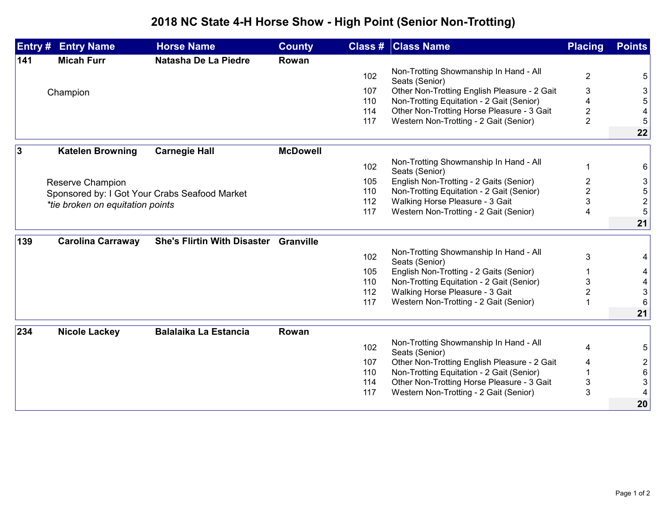## **2018 NC State 4-H Horse Show - High Point (Senior Non-Trotting)**

| Entry # | <b>Entry Name</b>                             | <b>Horse Name</b>                     | <b>County</b>   |     | <b>Class # Class Name</b>                                | <b>Placing</b> | <b>Points</b>  |
|---------|-----------------------------------------------|---------------------------------------|-----------------|-----|----------------------------------------------------------|----------------|----------------|
| 141     | <b>Micah Furr</b>                             | Natasha De La Piedre                  | Rowan           |     |                                                          |                |                |
|         |                                               |                                       |                 | 102 | Non-Trotting Showmanship In Hand - All<br>Seats (Senior) | $\overline{2}$ | 5              |
|         | Champion                                      |                                       |                 | 107 | Other Non-Trotting English Pleasure - 2 Gait             | 3              | 3              |
|         |                                               |                                       |                 | 110 | Non-Trotting Equitation - 2 Gait (Senior)                |                | 5              |
|         |                                               |                                       |                 | 114 | Other Non-Trotting Horse Pleasure - 3 Gait               | 2              |                |
|         |                                               |                                       |                 | 117 | Western Non-Trotting - 2 Gait (Senior)                   | $\overline{2}$ | 5              |
|         |                                               |                                       |                 |     |                                                          |                | 22             |
| 3       | <b>Katelen Browning</b>                       | <b>Carnegie Hall</b>                  | <b>McDowell</b> |     |                                                          |                |                |
|         |                                               |                                       |                 | 102 | Non-Trotting Showmanship In Hand - All<br>Seats (Senior) | -1             | 6              |
|         | Reserve Champion                              |                                       |                 | 105 | English Non-Trotting - 2 Gaits (Senior)                  | 2              | 3              |
|         | Sponsored by: I Got Your Crabs Seafood Market |                                       |                 | 110 | Non-Trotting Equitation - 2 Gait (Senior)                | 2              | 5              |
|         | *tie broken on equitation points              |                                       |                 | 112 | Walking Horse Pleasure - 3 Gait                          | 3              | $\overline{2}$ |
|         |                                               |                                       |                 | 117 | Western Non-Trotting - 2 Gait (Senior)                   | 4              | 5              |
|         |                                               |                                       |                 |     |                                                          |                | 21             |
| 139     | <b>Carolina Carraway</b>                      | She's Flirtin With Disaster Granville |                 |     |                                                          |                |                |
|         |                                               |                                       |                 | 102 | Non-Trotting Showmanship In Hand - All<br>Seats (Senior) | 3              | 4              |
|         |                                               |                                       |                 | 105 | English Non-Trotting - 2 Gaits (Senior)                  |                | 4              |
|         |                                               |                                       |                 | 110 | Non-Trotting Equitation - 2 Gait (Senior)                | 3              | 4              |
|         |                                               |                                       |                 | 112 | Walking Horse Pleasure - 3 Gait                          | $\overline{2}$ | 3              |
|         |                                               |                                       |                 | 117 | Western Non-Trotting - 2 Gait (Senior)                   |                | 6              |
|         |                                               |                                       |                 |     |                                                          |                | 21             |
| 234     | <b>Nicole Lackey</b>                          | <b>Balalaika La Estancia</b>          | Rowan           |     |                                                          |                |                |
|         |                                               |                                       |                 | 102 | Non-Trotting Showmanship In Hand - All<br>Seats (Senior) | 4              | 5              |
|         |                                               |                                       |                 | 107 | Other Non-Trotting English Pleasure - 2 Gait             | 4              | $\overline{c}$ |
|         |                                               |                                       |                 | 110 | Non-Trotting Equitation - 2 Gait (Senior)                |                | 6              |
|         |                                               |                                       |                 | 114 | Other Non-Trotting Horse Pleasure - 3 Gait               | 3              | 3              |
|         |                                               |                                       |                 | 117 | Western Non-Trotting - 2 Gait (Senior)                   | 3              |                |
|         |                                               |                                       |                 |     |                                                          |                | 20             |